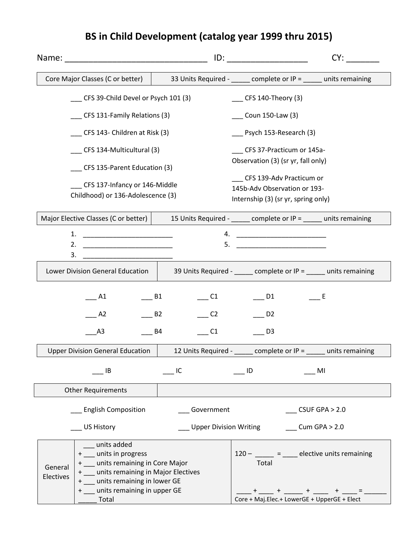## Name: The contract of the contract of the contract of the contract of the contract of the contract of the contract of the contract of the contract of the contract of the contract of the contract of the contract of the cont Core Major Classes (C or better)  $\begin{vmatrix} 33 \text{ Units Required} - 33 \text{ units} \\ 3 \text{ Units required} - 33 \text{ units} \end{vmatrix}$  complete or IP = \_\_\_\_\_ units remaining \_\_\_ CFS 39-Child Devel or Psych 101 (3) \_\_\_ CFS 131-Family Relations (3) \_\_\_ CFS 143- Children at Risk (3) \_\_\_ CFS 134-Multicultural (3) \_\_\_ CFS 135-Parent Education (3) \_\_\_ CFS 137-Infancy or 146-Middle Childhood) or 136-Adolescence (3)  $CFS$  140-Theory (3) \_\_\_ Coun 150-Law (3) \_\_\_ Psych 153-Research (3) \_\_\_ CFS 37-Practicum or 145a-Observation (3) (sr yr, fall only) \_\_\_ CFS 139-Adv Practicum or 145b-Adv Observation or 193- Internship (3) (sr yr, spring only) Major Elective Classes (C or better)  $\vert$  15 Units Required - \_\_\_\_\_ complete or IP = \_\_\_\_ units remaining 1. \_\_\_\_\_\_\_\_\_\_\_\_\_\_\_\_\_\_\_\_\_\_\_\_ 2. \_\_\_\_\_\_\_\_\_\_\_\_\_\_\_\_\_\_\_\_\_\_\_\_  $3.$ 4. \_\_\_\_\_\_\_\_\_\_\_\_\_\_\_\_\_\_\_\_\_\_\_\_  $5.$ Lower Division General Education  $\parallel$  39 Units Required - \_\_\_\_\_ complete or IP = \_\_\_\_\_ units remaining  $\overline{\phantom{0}}^{\rm A1}$  $\overline{\phantom{0}}$  A2 \_\_\_A3  $\_\_$  B1  $\qquad \qquad$  B2  $B4$ \_\_\_ C1 \_\_\_ D1 \_\_\_ C2 \_\_\_ D2 \_\_\_ C1 \_\_\_ D3  $\_\_$  E Upper Division General Education  $\begin{vmatrix} 1 & 12 & 12 & 12 \\ 1 & 2 & 1 & 12 \\ 0 & 0 & 1 & 12 \end{vmatrix}$  complete or IP = units remaining  $\begin{array}{ccc} \begin{array}{ccc} \text{I}\text{B} & \text{I}\text{C} & \text{I}\text{D} & \text{I}\text{MI} \end{array} \end{array}$ Other Requirements \_\_\_ English Composition \_\_\_ US History \_\_\_ Government \_\_\_ Upper Division Writing \_\_\_ Cum GPA > 2.0 \_\_\_ CSUF GPA > 2.0 General Electives \_\_\_ units added + \_\_\_ units in progress + \_\_\_ units remaining in Core Major + \_\_\_ units remaining in Major Electives + \_\_\_ units remaining in lower GE + \_\_\_ units remaining in upper GE \_\_\_\_\_ Total  $120 -$  \_\_\_\_\_ = \_\_\_\_ elective units remaining Total  $-$  +  $-$  +  $-$  +  $-$  +  $-$  =  $-$ Core + Maj.Elec.+ LowerGE + UpperGE + Elect

## **BS in Child Development (catalog year 1999 thru 2015)**